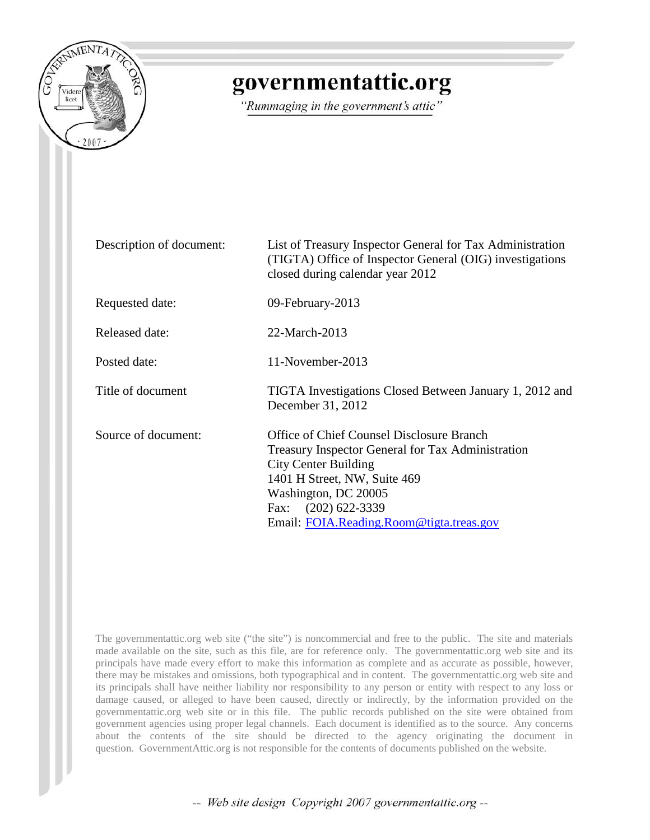

## governmentattic.org

"Rummaging in the government's attic"

| Description of document: | List of Treasury Inspector General for Tax Administration<br>(TIGTA) Office of Inspector General (OIG) investigations<br>closed during calendar year 2012                                                                                                     |
|--------------------------|---------------------------------------------------------------------------------------------------------------------------------------------------------------------------------------------------------------------------------------------------------------|
| Requested date:          | 09-February-2013                                                                                                                                                                                                                                              |
| Released date:           | 22-March-2013                                                                                                                                                                                                                                                 |
| Posted date:             | 11-November-2013                                                                                                                                                                                                                                              |
| Title of document        | TIGTA Investigations Closed Between January 1, 2012 and<br>December 31, 2012                                                                                                                                                                                  |
| Source of document:      | Office of Chief Counsel Disclosure Branch<br>Treasury Inspector General for Tax Administration<br><b>City Center Building</b><br>1401 H Street, NW, Suite 469<br>Washington, DC 20005<br>$(202)$ 622-3339<br>Fax:<br>Email: FOIA.Reading.Room@tigta.treas.gov |

The governmentattic.org web site ("the site") is noncommercial and free to the public. The site and materials made available on the site, such as this file, are for reference only. The governmentattic.org web site and its principals have made every effort to make this information as complete and as accurate as possible, however, there may be mistakes and omissions, both typographical and in content. The governmentattic.org web site and its principals shall have neither liability nor responsibility to any person or entity with respect to any loss or damage caused, or alleged to have been caused, directly or indirectly, by the information provided on the governmentattic.org web site or in this file. The public records published on the site were obtained from government agencies using proper legal channels. Each document is identified as to the source. Any concerns about the contents of the site should be directed to the agency originating the document in question. GovernmentAttic.org is not responsible for the contents of documents published on the website.

-- Web site design Copyright 2007 governmentattic.org --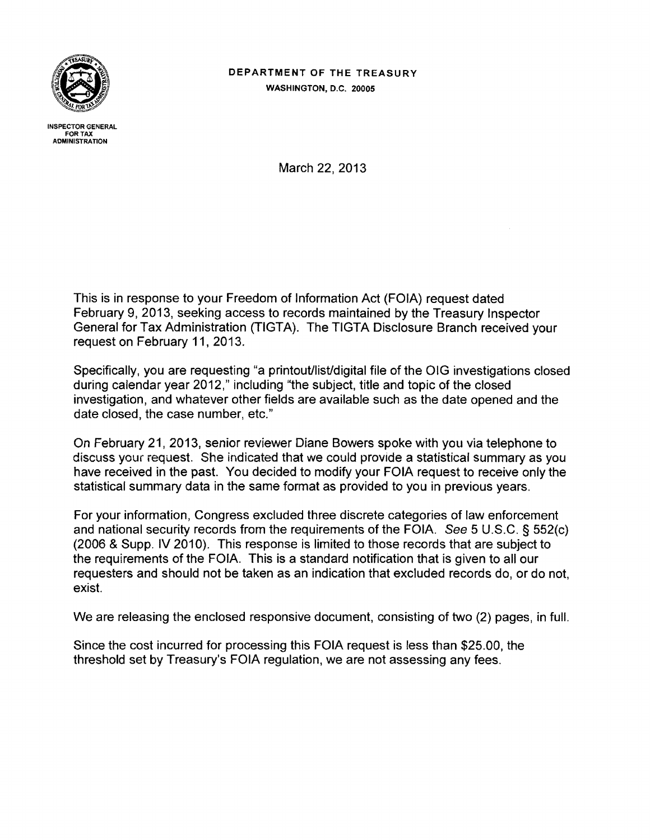

DEPARTMENT OF THE TREASURY WASHINGTON, D.C. 20005

INSPECTOR GENERAL FOR TAX AOMINISTRA TION

March 22, 2013

This is in response to your Freedom of Information Act (FOIA) request dated February 9, 2013, seeking access to records maintained by the Treasury Inspector General for Tax Administration (TIGTA). The TIGTA Disclosure Branch received your request on February 11, 2013.

Specifically, you are requesting "a printout/list/digital file of the OIG investigations closed during calendar year 2012," including "the subject, title and topic of the closed investigation, and whatever other fields are available such as the date opened and the date closed, the case number, etc."

On February 21, 2013, senior reviewer Diane Bowers spoke with you via telephone to discuss your iequest. She indicated that we could provide a statistical summary as you have received in the past. You decided to modify your FOIA request to receive only the statistical summary data in the same format as provided to you in previous years.

For your information, Congress excluded three discrete categories of law enforcement and national security records from the requirements of the FOIA. See 5 U.S.C. § 552(c) (2006 & Supp. IV 2010). This response is limited to those records that are subject to the requirements of the FOIA. This is a standard notification that is given to all our requesters and should not be taken as an indication that excluded records do, or do not, exist.

We are releasing the enclosed responsive document, consisting of two (2) pages, in full.

Since the cost incurred for processing this FOIA request is less than \$25.00, the threshold set by Treasury's FOIA regulation, we are not assessing any fees.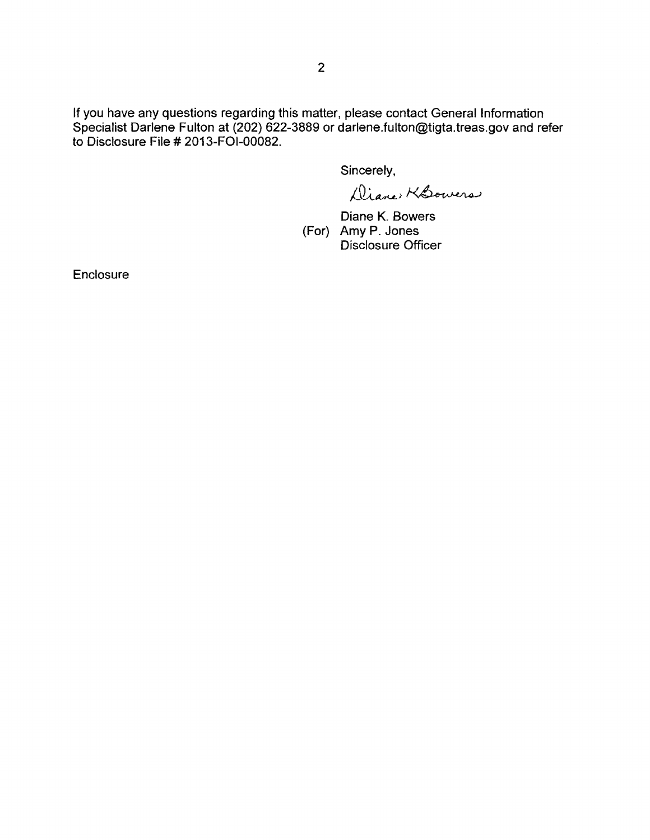If you have any questions regarding this matter, please contact General Information Specialist Darlene Fulton at (202) 622-3889 or darlene.fulton@tigta.treas.gov and refer to Disclosure File # 2013-FOI-00082.

Sincerely,

Diane KSowers

Diane K. Bowers (For) Amy P. Jones Disclosure Officer

**Enclosure**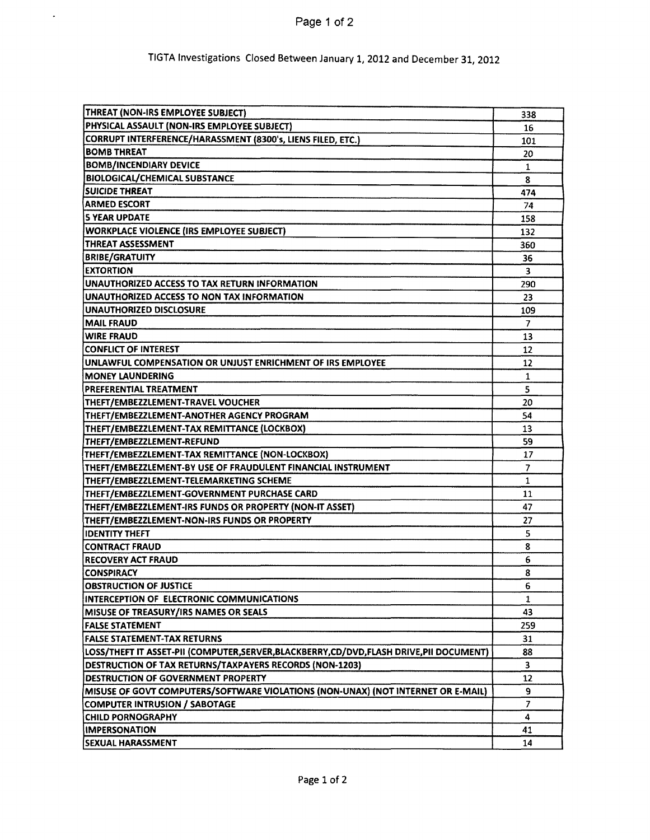Page 1 of 2

 $\ddot{\phantom{1}}$ 

## TIGTA Investigations Closed Between January 1, 2012 and December 31, 2012

| THREAT (NON-IRS EMPLOYEE SUBJECT)                                                    | 338            |
|--------------------------------------------------------------------------------------|----------------|
| PHYSICAL ASSAULT (NON-IRS EMPLOYEE SUBJECT)                                          | 16             |
| CORRUPT INTERFERENCE/HARASSMENT (8300's, LIENS FILED, ETC.)                          | 101            |
| <b>BOMB THREAT</b>                                                                   |                |
| <b>BOMB/INCENDIARY DEVICE</b>                                                        |                |
| BIOLOGICAL/CHEMICAL SUBSTANCE                                                        |                |
| SUICIDE THREAT                                                                       |                |
| <b>ARMED ESCORT</b>                                                                  | 74             |
| <b>IS YEAR UPDATE</b>                                                                | 158            |
| <b>WORKPLACE VIOLENCE (IRS EMPLOYEE SUBJECT)</b>                                     |                |
| THREAT ASSESSMENT                                                                    |                |
| <b>BRIBE/GRATUITY</b>                                                                |                |
| <b>EXTORTION</b>                                                                     | 3              |
| UNAUTHORIZED ACCESS TO TAX RETURN INFORMATION                                        | 290            |
| UNAUTHORIZED ACCESS TO NON TAX INFORMATION                                           | 23             |
| UNAUTHORIZED DISCLOSURE                                                              | 109            |
| <b>MAIL FRAUD</b>                                                                    | $\overline{7}$ |
| <b>WIRE FRAUD</b>                                                                    | 13             |
| <b>CONFLICT OF INTEREST</b>                                                          | 12             |
| UNLAWFUL COMPENSATION OR UNJUST ENRICHMENT OF IRS EMPLOYEE                           | 12             |
| IMONEY LAUNDERING                                                                    | 1              |
| <b>PREFERENTIAL TREATMENT</b>                                                        |                |
| THEFT/EMBEZZLEMENT-TRAVEL VOUCHER                                                    | 5<br>20        |
| THEFT/EMBEZZLEMENT-ANOTHER AGENCY PROGRAM                                            | 54             |
| THEFT/EMBEZZLEMENT-TAX REMITTANCE (LOCKBOX)                                          | 13             |
| THEFT/EMBEZZLEMENT-REFUND                                                            |                |
| THEFT/EMBEZZLEMENT-TAX REMITTANCE (NON-LOCKBOX)                                      |                |
| THEFT/EMBEZZLEMENT-BY USE OF FRAUDULENT FINANCIAL INSTRUMENT                         |                |
| THEFT/EMBEZZLEMENT-TELEMARKETING SCHEME                                              |                |
| THEFT/EMBEZZLEMENT-GOVERNMENT PURCHASE CARD                                          |                |
| THEFT/EMBEZZLEMENT-IRS FUNDS OR PROPERTY (NON-IT ASSET)                              |                |
| THEFT/EMBEZZLEMENT-NON-IRS FUNDS OR PROPERTY                                         |                |
| <b>IDENTITY THEFT</b>                                                                | 27<br>5        |
| CONTRACT FRAUD                                                                       | 8              |
| <b>IRECOVERY ACT FRAUD</b>                                                           | 6              |
| <b>CONSPIRACY</b>                                                                    | 8              |
| <b>OBSTRUCTION OF JUSTICE</b>                                                        | 6              |
| INTERCEPTION OF ELECTRONIC COMMUNICATIONS                                            | 1              |
| MISUSE OF TREASURY/IRS NAMES OR SEALS                                                | 43             |
| <b>FALSE STATEMENT</b>                                                               | 259            |
| <b>FALSE STATEMENT-TAX RETURNS</b>                                                   | 31             |
| LOSS/THEFT IT ASSET-PII (COMPUTER,SERVER,BLACKBERRY,CD/DVD,FLASH DRIVE,PII DOCUMENT) | 88             |
| DESTRUCTION OF TAX RETURNS/TAXPAYERS RECORDS (NON-1203)                              |                |
| DESTRUCTION OF GOVERNMENT PROPERTY                                                   |                |
| MISUSE OF GOVT COMPUTERS/SOFTWARE VIOLATIONS (NON-UNAX) (NOT INTERNET OR E-MAIL)     |                |
| <b>COMPUTER INTRUSION / SABOTAGE</b>                                                 |                |
| <b>CHILD PORNOGRAPHY</b>                                                             |                |
| <b>IMPERSONATION</b>                                                                 |                |
| <b>SEXUAL HARASSMENT</b>                                                             | 41<br>14       |